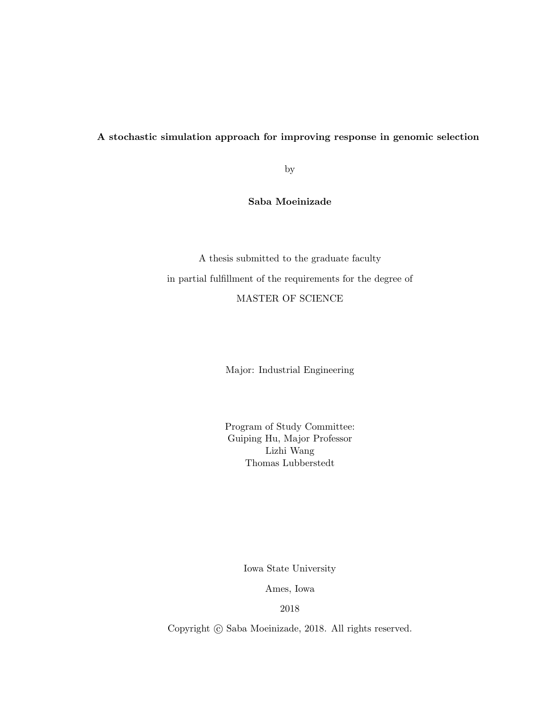## A stochastic simulation approach for improving response in genomic selection

by

# Saba Moeinizade

A thesis submitted to the graduate faculty in partial fulfillment of the requirements for the degree of MASTER OF SCIENCE

Major: Industrial Engineering

Program of Study Committee: Guiping Hu, Major Professor Lizhi Wang Thomas Lubberstedt

Iowa State University

Ames, Iowa

2018

Copyright  $\odot$  Saba Moeinizade, 2018. All rights reserved.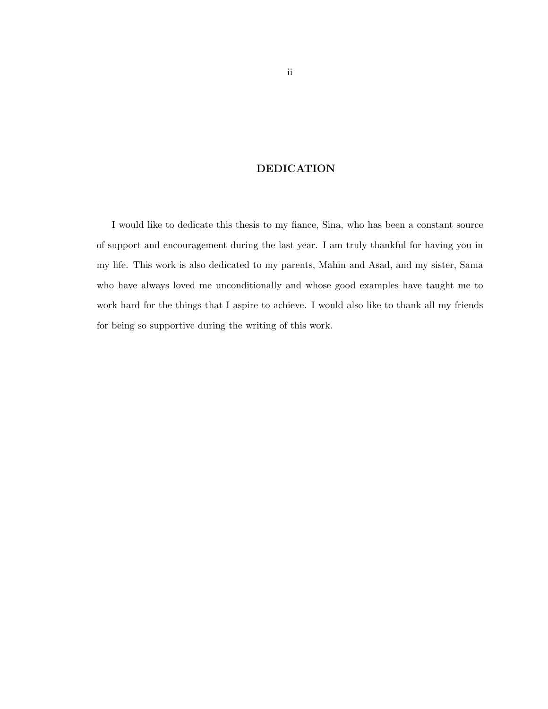# DEDICATION

I would like to dedicate this thesis to my fiance, Sina, who has been a constant source of support and encouragement during the last year. I am truly thankful for having you in my life. This work is also dedicated to my parents, Mahin and Asad, and my sister, Sama who have always loved me unconditionally and whose good examples have taught me to work hard for the things that I aspire to achieve. I would also like to thank all my friends for being so supportive during the writing of this work.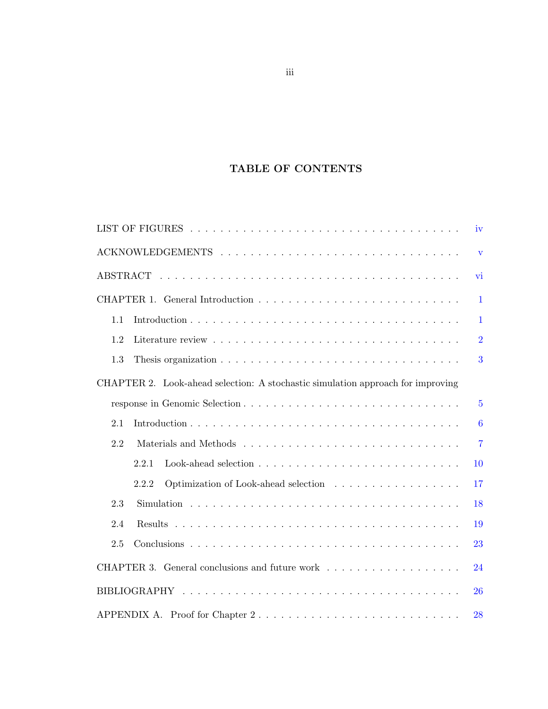# TABLE OF CONTENTS

| iv                                                                              |                         |
|---------------------------------------------------------------------------------|-------------------------|
|                                                                                 | $\overline{\mathbf{V}}$ |
| vi                                                                              |                         |
|                                                                                 | $\mathbf{1}$            |
| 1.1                                                                             | $\mathbf{1}$            |
| 1.2                                                                             | $\overline{2}$          |
| 1.3                                                                             | 3                       |
| CHAPTER 2. Look-ahead selection: A stochastic simulation approach for improving |                         |
|                                                                                 | $\overline{5}$          |
| 2.1                                                                             | 6                       |
| 2.2                                                                             | $\overline{7}$          |
| 2.2.1<br>10                                                                     |                         |
| 17<br>2.2.2                                                                     |                         |
| 2.3<br>18                                                                       |                         |
| 2.4<br>19                                                                       |                         |
| 2.5<br>23                                                                       |                         |
| 24                                                                              |                         |
| 26                                                                              |                         |
| APPENDIX A. Proof for Chapter 2<br>28                                           |                         |

iii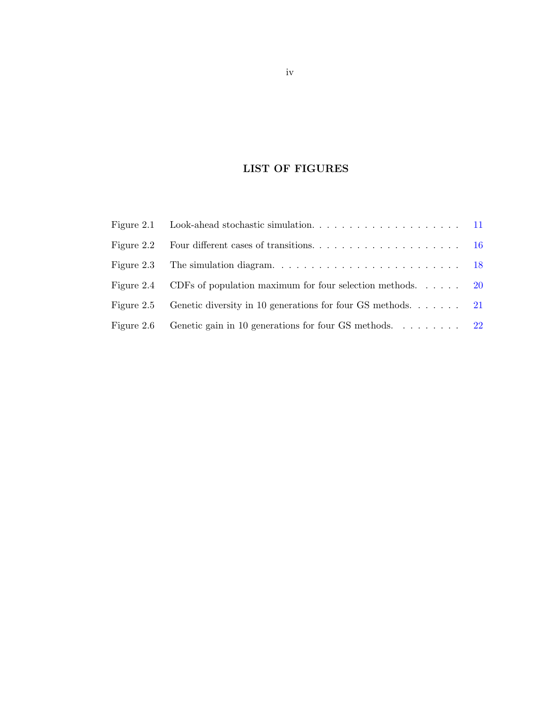# LIST OF FIGURES

<span id="page-3-0"></span>

| Figure 2.2 |                                                                                             |  |
|------------|---------------------------------------------------------------------------------------------|--|
| Figure 2.3 | The simulation diagram. $\ldots \ldots \ldots \ldots \ldots \ldots \ldots \ldots \ldots$ 18 |  |
| Figure 2.4 | CDFs of population maximum for four selection methods $20$                                  |  |
| Figure 2.5 | Genetic diversity in 10 generations for four GS methods. $\ldots$ . 21                      |  |
| Figure 2.6 | Genetic gain in 10 generations for four GS methods. 22                                      |  |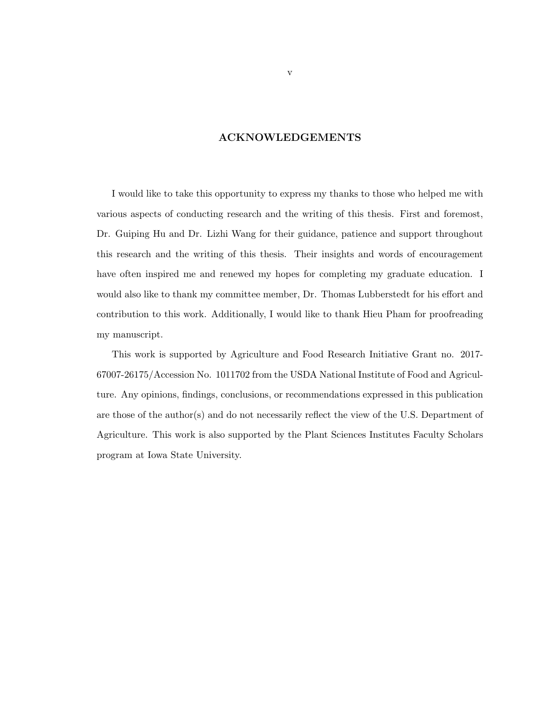# ACKNOWLEDGEMENTS

<span id="page-4-0"></span>I would like to take this opportunity to express my thanks to those who helped me with various aspects of conducting research and the writing of this thesis. First and foremost, Dr. Guiping Hu and Dr. Lizhi Wang for their guidance, patience and support throughout this research and the writing of this thesis. Their insights and words of encouragement have often inspired me and renewed my hopes for completing my graduate education. I would also like to thank my committee member, Dr. Thomas Lubberstedt for his effort and contribution to this work. Additionally, I would like to thank Hieu Pham for proofreading my manuscript.

This work is supported by Agriculture and Food Research Initiative Grant no. 2017- 67007-26175/Accession No. 1011702 from the USDA National Institute of Food and Agriculture. Any opinions, findings, conclusions, or recommendations expressed in this publication are those of the author(s) and do not necessarily reflect the view of the U.S. Department of Agriculture. This work is also supported by the Plant Sciences Institutes Faculty Scholars program at Iowa State University.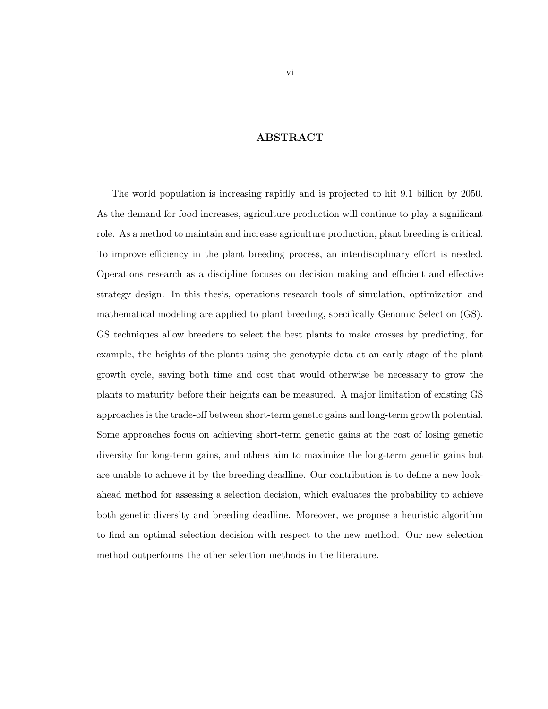# ABSTRACT

<span id="page-5-0"></span>The world population is increasing rapidly and is projected to hit 9.1 billion by 2050. As the demand for food increases, agriculture production will continue to play a significant role. As a method to maintain and increase agriculture production, plant breeding is critical. To improve efficiency in the plant breeding process, an interdisciplinary effort is needed. Operations research as a discipline focuses on decision making and efficient and effective strategy design. In this thesis, operations research tools of simulation, optimization and mathematical modeling are applied to plant breeding, specifically Genomic Selection (GS). GS techniques allow breeders to select the best plants to make crosses by predicting, for example, the heights of the plants using the genotypic data at an early stage of the plant growth cycle, saving both time and cost that would otherwise be necessary to grow the plants to maturity before their heights can be measured. A major limitation of existing GS approaches is the trade-off between short-term genetic gains and long-term growth potential. Some approaches focus on achieving short-term genetic gains at the cost of losing genetic diversity for long-term gains, and others aim to maximize the long-term genetic gains but are unable to achieve it by the breeding deadline. Our contribution is to define a new lookahead method for assessing a selection decision, which evaluates the probability to achieve both genetic diversity and breeding deadline. Moreover, we propose a heuristic algorithm to find an optimal selection decision with respect to the new method. Our new selection method outperforms the other selection methods in the literature.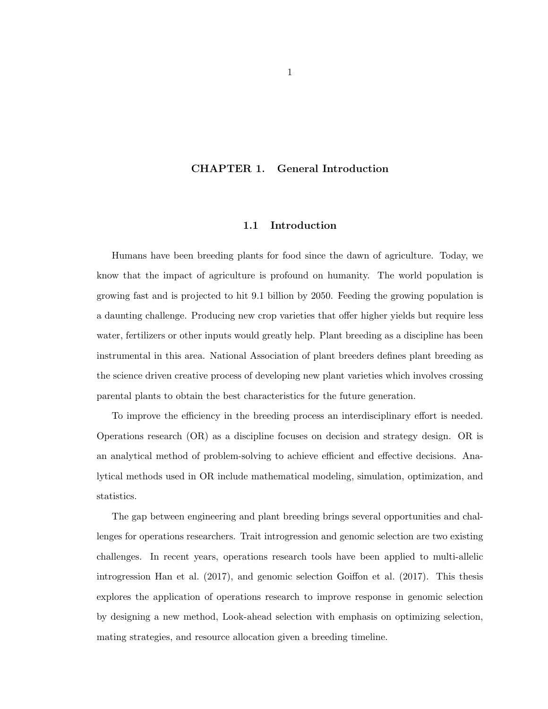#### <span id="page-6-0"></span>CHAPTER 1. General Introduction

#### 1.1 Introduction

Humans have been breeding plants for food since the dawn of agriculture. Today, we know that the impact of agriculture is profound on humanity. The world population is growing fast and is projected to hit 9.1 billion by 2050. Feeding the growing population is a daunting challenge. Producing new crop varieties that offer higher yields but require less water, fertilizers or other inputs would greatly help. Plant breeding as a discipline has been instrumental in this area. National Association of plant breeders defines plant breeding as the science driven creative process of developing new plant varieties which involves crossing parental plants to obtain the best characteristics for the future generation.

To improve the efficiency in the breeding process an interdisciplinary effort is needed. Operations research (OR) as a discipline focuses on decision and strategy design. OR is an analytical method of problem-solving to achieve efficient and effective decisions. Analytical methods used in OR include mathematical modeling, simulation, optimization, and statistics.

The gap between engineering and plant breeding brings several opportunities and challenges for operations researchers. Trait introgression and genomic selection are two existing challenges. In recent years, operations research tools have been applied to multi-allelic introgression Han et al. (2017), and genomic selection Goiffon et al. (2017). This thesis explores the application of operations research to improve response in genomic selection by designing a new method, Look-ahead selection with emphasis on optimizing selection, mating strategies, and resource allocation given a breeding timeline.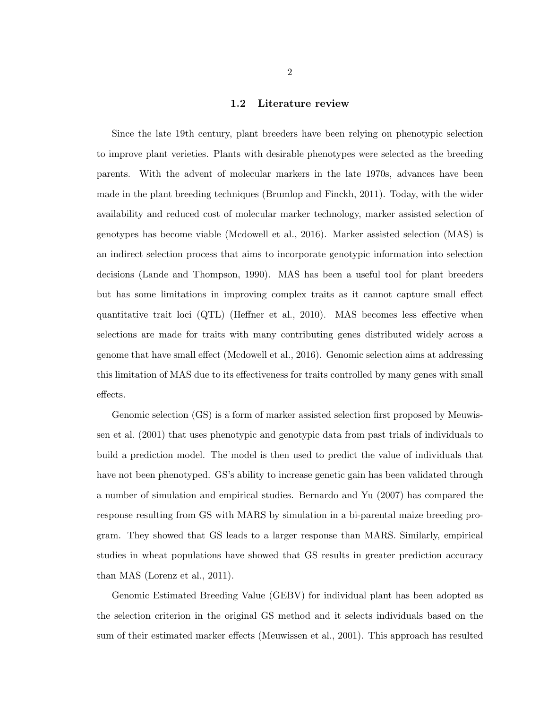#### 1.2 Literature review

<span id="page-7-0"></span>Since the late 19th century, plant breeders have been relying on phenotypic selection to improve plant verieties. Plants with desirable phenotypes were selected as the breeding parents. With the advent of molecular markers in the late 1970s, advances have been made in the plant breeding techniques (Brumlop and Finckh, 2011). Today, with the wider availability and reduced cost of molecular marker technology, marker assisted selection of genotypes has become viable (Mcdowell et al., 2016). Marker assisted selection (MAS) is an indirect selection process that aims to incorporate genotypic information into selection decisions (Lande and Thompson, 1990). MAS has been a useful tool for plant breeders but has some limitations in improving complex traits as it cannot capture small effect quantitative trait loci (QTL) (Heffner et al., 2010). MAS becomes less effective when selections are made for traits with many contributing genes distributed widely across a genome that have small effect (Mcdowell et al., 2016). Genomic selection aims at addressing this limitation of MAS due to its effectiveness for traits controlled by many genes with small effects.

Genomic selection (GS) is a form of marker assisted selection first proposed by Meuwissen et al. (2001) that uses phenotypic and genotypic data from past trials of individuals to build a prediction model. The model is then used to predict the value of individuals that have not been phenotyped. GS's ability to increase genetic gain has been validated through a number of simulation and empirical studies. Bernardo and Yu (2007) has compared the response resulting from GS with MARS by simulation in a bi-parental maize breeding program. They showed that GS leads to a larger response than MARS. Similarly, empirical studies in wheat populations have showed that GS results in greater prediction accuracy than MAS (Lorenz et al., 2011).

Genomic Estimated Breeding Value (GEBV) for individual plant has been adopted as the selection criterion in the original GS method and it selects individuals based on the sum of their estimated marker effects (Meuwissen et al., 2001). This approach has resulted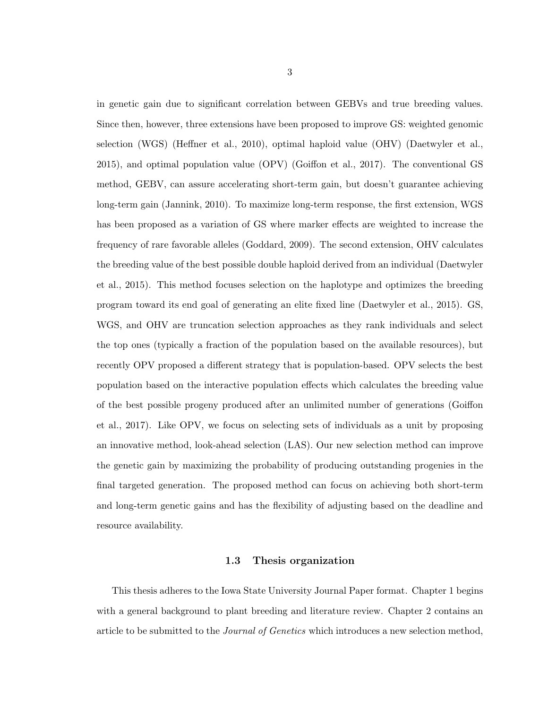<span id="page-8-0"></span>in genetic gain due to significant correlation between GEBVs and true breeding values. Since then, however, three extensions have been proposed to improve GS: weighted genomic selection (WGS) (Heffner et al., 2010), optimal haploid value (OHV) (Daetwyler et al., 2015), and optimal population value (OPV) (Goiffon et al., 2017). The conventional GS method, GEBV, can assure accelerating short-term gain, but doesn't guarantee achieving long-term gain (Jannink, 2010). To maximize long-term response, the first extension, WGS has been proposed as a variation of GS where marker effects are weighted to increase the frequency of rare favorable alleles (Goddard, 2009). The second extension, OHV calculates the breeding value of the best possible double haploid derived from an individual (Daetwyler et al., 2015). This method focuses selection on the haplotype and optimizes the breeding program toward its end goal of generating an elite fixed line (Daetwyler et al., 2015). GS, WGS, and OHV are truncation selection approaches as they rank individuals and select the top ones (typically a fraction of the population based on the available resources), but recently OPV proposed a different strategy that is population-based. OPV selects the best population based on the interactive population effects which calculates the breeding value of the best possible progeny produced after an unlimited number of generations (Goiffon et al., 2017). Like OPV, we focus on selecting sets of individuals as a unit by proposing an innovative method, look-ahead selection (LAS). Our new selection method can improve the genetic gain by maximizing the probability of producing outstanding progenies in the final targeted generation. The proposed method can focus on achieving both short-term and long-term genetic gains and has the flexibility of adjusting based on the deadline and resource availability.

#### 1.3 Thesis organization

This thesis adheres to the Iowa State University Journal Paper format. Chapter 1 begins with a general background to plant breeding and literature review. Chapter 2 contains an article to be submitted to the *Journal of Genetics* which introduces a new selection method,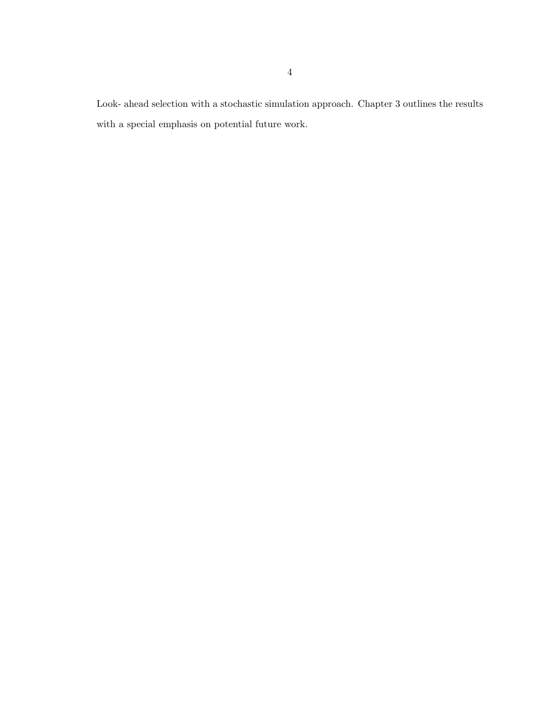Look- ahead selection with a stochastic simulation approach. Chapter 3 outlines the results with a special emphasis on potential future work.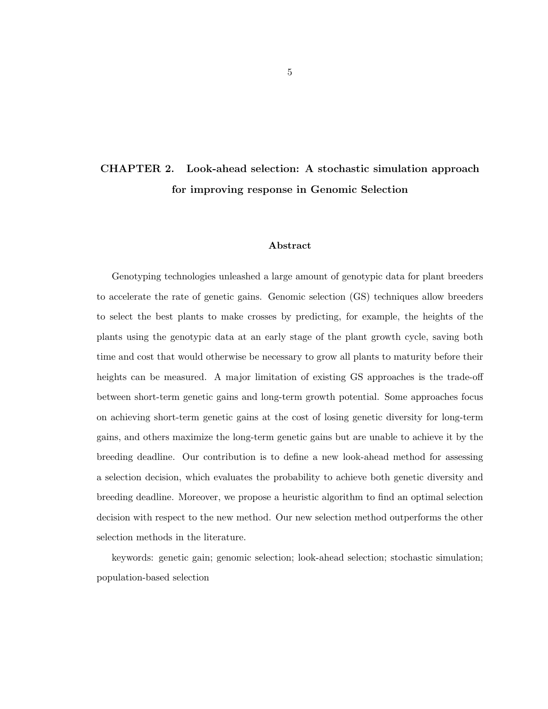# <span id="page-10-0"></span>CHAPTER 2. Look-ahead selection: A stochastic simulation approach for improving response in Genomic Selection

#### Abstract

Genotyping technologies unleashed a large amount of genotypic data for plant breeders to accelerate the rate of genetic gains. Genomic selection (GS) techniques allow breeders to select the best plants to make crosses by predicting, for example, the heights of the plants using the genotypic data at an early stage of the plant growth cycle, saving both time and cost that would otherwise be necessary to grow all plants to maturity before their heights can be measured. A major limitation of existing GS approaches is the trade-off between short-term genetic gains and long-term growth potential. Some approaches focus on achieving short-term genetic gains at the cost of losing genetic diversity for long-term gains, and others maximize the long-term genetic gains but are unable to achieve it by the breeding deadline. Our contribution is to define a new look-ahead method for assessing a selection decision, which evaluates the probability to achieve both genetic diversity and breeding deadline. Moreover, we propose a heuristic algorithm to find an optimal selection decision with respect to the new method. Our new selection method outperforms the other selection methods in the literature.

keywords: genetic gain; genomic selection; look-ahead selection; stochastic simulation; population-based selection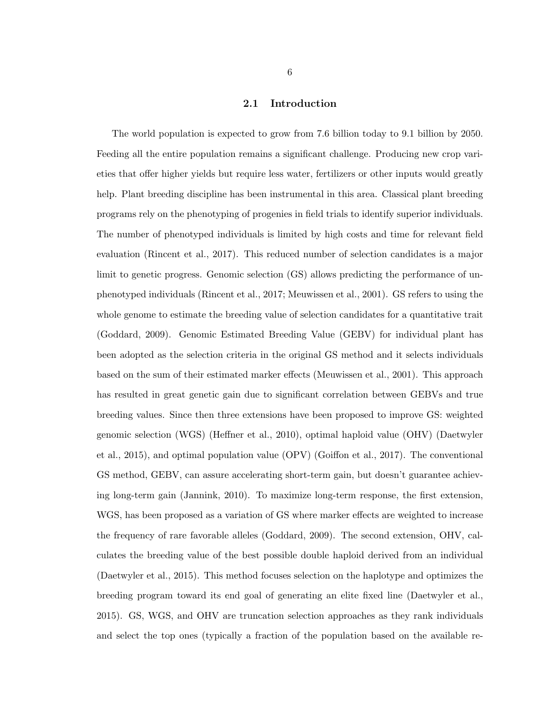#### 2.1 Introduction

<span id="page-11-0"></span>The world population is expected to grow from 7.6 billion today to 9.1 billion by 2050. Feeding all the entire population remains a significant challenge. Producing new crop varieties that offer higher yields but require less water, fertilizers or other inputs would greatly help. Plant breeding discipline has been instrumental in this area. Classical plant breeding programs rely on the phenotyping of progenies in field trials to identify superior individuals. The number of phenotyped individuals is limited by high costs and time for relevant field evaluation (Rincent et al., 2017). This reduced number of selection candidates is a major limit to genetic progress. Genomic selection (GS) allows predicting the performance of unphenotyped individuals (Rincent et al., 2017; Meuwissen et al., 2001). GS refers to using the whole genome to estimate the breeding value of selection candidates for a quantitative trait (Goddard, 2009). Genomic Estimated Breeding Value (GEBV) for individual plant has been adopted as the selection criteria in the original GS method and it selects individuals based on the sum of their estimated marker effects (Meuwissen et al., 2001). This approach has resulted in great genetic gain due to significant correlation between GEBVs and true breeding values. Since then three extensions have been proposed to improve GS: weighted genomic selection (WGS) (Heffner et al., 2010), optimal haploid value (OHV) (Daetwyler et al., 2015), and optimal population value (OPV) (Goiffon et al., 2017). The conventional GS method, GEBV, can assure accelerating short-term gain, but doesn't guarantee achieving long-term gain (Jannink, 2010). To maximize long-term response, the first extension, WGS, has been proposed as a variation of GS where marker effects are weighted to increase the frequency of rare favorable alleles (Goddard, 2009). The second extension, OHV, calculates the breeding value of the best possible double haploid derived from an individual (Daetwyler et al., 2015). This method focuses selection on the haplotype and optimizes the breeding program toward its end goal of generating an elite fixed line (Daetwyler et al., 2015). GS, WGS, and OHV are truncation selection approaches as they rank individuals and select the top ones (typically a fraction of the population based on the available re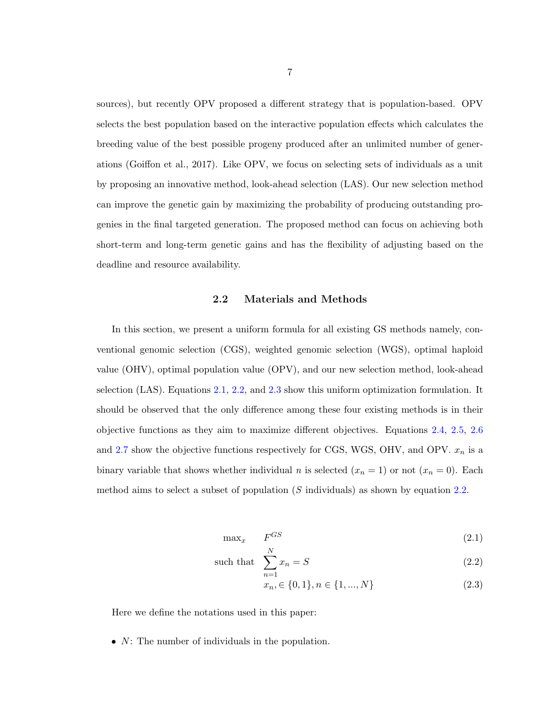<span id="page-12-0"></span>sources), but recently OPV proposed a different strategy that is population-based. OPV selects the best population based on the interactive population effects which calculates the breeding value of the best possible progeny produced after an unlimited number of generations (Goiffon et al., 2017). Like OPV, we focus on selecting sets of individuals as a unit by proposing an innovative method, look-ahead selection (LAS). Our new selection method can improve the genetic gain by maximizing the probability of producing outstanding progenies in the final targeted generation. The proposed method can focus on achieving both short-term and long-term genetic gains and has the flexibility of adjusting based on the deadline and resource availability.

#### 2.2 Materials and Methods

In this section, we present a uniform formula for all existing GS methods namely, conventional genomic selection (CGS), weighted genomic selection (WGS), optimal haploid value (OHV), optimal population value (OPV), and our new selection method, look-ahead selection (LAS). Equations 2.1, 2.2, and 2.3 show this uniform optimization formulation. It should be observed that the only difference among these four existing methods is in their objective functions as they aim to maximize different objectives. Equations [2.4,](#page-13-0) [2.5,](#page-13-0) [2.6](#page-14-0) and [2.7](#page-14-0) show the objective functions respectively for CGS, WGS, OHV, and OPV.  $x_n$  is a binary variable that shows whether individual n is selected  $(x_n = 1)$  or not  $(x_n = 0)$ . Each method aims to select a subset of population  $(S \text{ individuals})$  as shown by equation 2.2.

$$
\max_{x} \qquad F^{GS} \tag{2.1}
$$

such that 
$$
\sum_{n=1}^{N} x_n = S
$$
 (2.2)

$$
x_n \in \{0, 1\}, n \in \{1, ..., N\}
$$
\n
$$
(2.3)
$$

Here we define the notations used in this paper:

•  $N$ : The number of individuals in the population.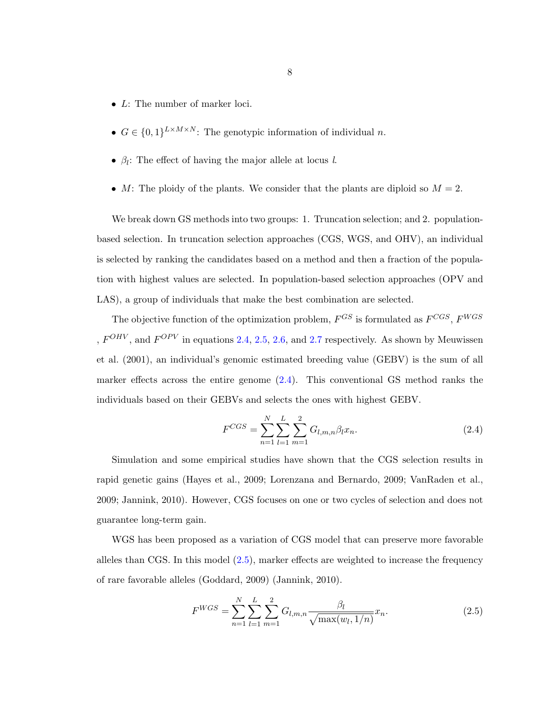- <span id="page-13-0"></span>• L: The number of marker loci.
- $G \in \{0,1\}^{L \times M \times N}$ : The genotypic information of individual n.
- $\beta_l$ : The effect of having the major allele at locus l.
- M: The ploidy of the plants. We consider that the plants are diploid so  $M = 2$ .

We break down GS methods into two groups: 1. Truncation selection; and 2. populationbased selection. In truncation selection approaches (CGS, WGS, and OHV), an individual is selected by ranking the candidates based on a method and then a fraction of the population with highest values are selected. In population-based selection approaches (OPV and LAS), a group of individuals that make the best combination are selected.

The objective function of the optimization problem,  $F^{GS}$  is formulated as  $F^{CGS}, F^{WGS}$ ,  $F^{OHV}$ , and  $F^{OPV}$  in equations 2.4, 2.5, [2.6,](#page-14-0) and [2.7](#page-14-0) respectively. As shown by Meuwissen et al. (2001), an individual's genomic estimated breeding value (GEBV) is the sum of all marker effects across the entire genome  $(2.4)$ . This conventional GS method ranks the individuals based on their GEBVs and selects the ones with highest GEBV.

$$
F^{CGS} = \sum_{n=1}^{N} \sum_{l=1}^{L} \sum_{m=1}^{2} G_{l,m,n} \beta_l x_n.
$$
 (2.4)

Simulation and some empirical studies have shown that the CGS selection results in rapid genetic gains (Hayes et al., 2009; Lorenzana and Bernardo, 2009; VanRaden et al., 2009; Jannink, 2010). However, CGS focuses on one or two cycles of selection and does not guarantee long-term gain.

WGS has been proposed as a variation of CGS model that can preserve more favorable alleles than CGS. In this model  $(2.5)$ , marker effects are weighted to increase the frequency of rare favorable alleles (Goddard, 2009) (Jannink, 2010).

$$
F^{WGS} = \sum_{n=1}^{N} \sum_{l=1}^{L} \sum_{m=1}^{2} G_{l,m,n} \frac{\beta_l}{\sqrt{\max(w_l, 1/n)}} x_n.
$$
 (2.5)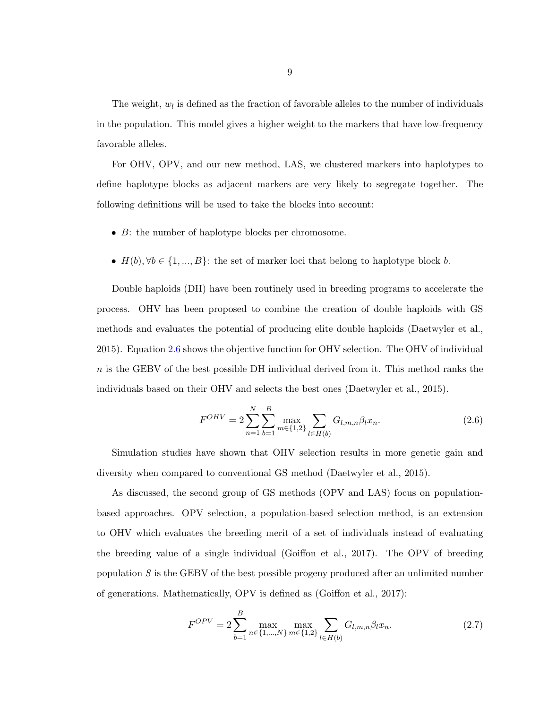<span id="page-14-0"></span>The weight,  $w_l$  is defined as the fraction of favorable alleles to the number of individuals in the population. This model gives a higher weight to the markers that have low-frequency favorable alleles.

For OHV, OPV, and our new method, LAS, we clustered markers into haplotypes to define haplotype blocks as adjacent markers are very likely to segregate together. The following definitions will be used to take the blocks into account:

- B: the number of haplotype blocks per chromosome.
- $H(b), \forall b \in \{1, ..., B\}$ : the set of marker loci that belong to haplotype block b.

Double haploids (DH) have been routinely used in breeding programs to accelerate the process. OHV has been proposed to combine the creation of double haploids with GS methods and evaluates the potential of producing elite double haploids (Daetwyler et al., 2015). Equation 2.6 shows the objective function for OHV selection. The OHV of individual  $n$  is the GEBV of the best possible DH individual derived from it. This method ranks the individuals based on their OHV and selects the best ones (Daetwyler et al., 2015).

$$
F^{OHV} = 2\sum_{n=1}^{N} \sum_{b=1}^{B} \max_{m \in \{1,2\}} \sum_{l \in H(b)} G_{l,m,n} \beta_l x_n.
$$
 (2.6)

Simulation studies have shown that OHV selection results in more genetic gain and diversity when compared to conventional GS method (Daetwyler et al., 2015).

As discussed, the second group of GS methods (OPV and LAS) focus on populationbased approaches. OPV selection, a population-based selection method, is an extension to OHV which evaluates the breeding merit of a set of individuals instead of evaluating the breeding value of a single individual (Goiffon et al., 2017). The OPV of breeding population S is the GEBV of the best possible progeny produced after an unlimited number of generations. Mathematically, OPV is defined as (Goiffon et al., 2017):

$$
F^{OPV} = 2 \sum_{b=1}^{B} \max_{n \in \{1, \dots, N\}} \max_{m \in \{1, 2\}} \sum_{l \in H(b)} G_{l, m, n} \beta_l x_n.
$$
 (2.7)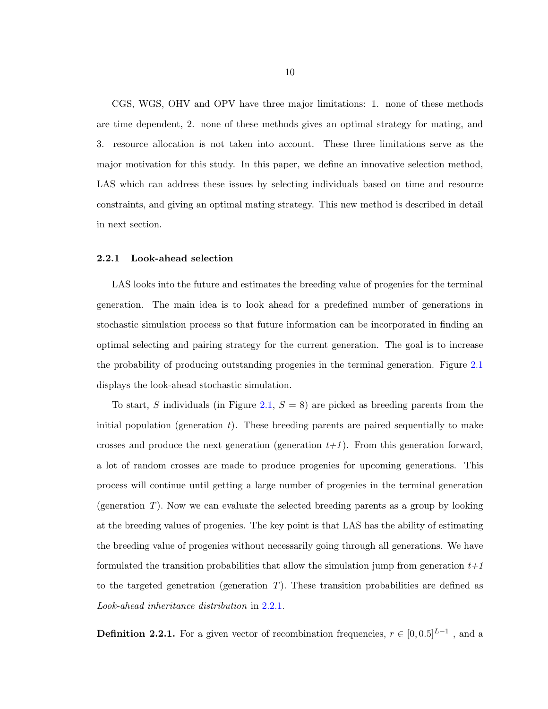<span id="page-15-0"></span>CGS, WGS, OHV and OPV have three major limitations: 1. none of these methods are time dependent, 2. none of these methods gives an optimal strategy for mating, and 3. resource allocation is not taken into account. These three limitations serve as the major motivation for this study. In this paper, we define an innovative selection method, LAS which can address these issues by selecting individuals based on time and resource constraints, and giving an optimal mating strategy. This new method is described in detail in next section.

#### 2.2.1 Look-ahead selection

LAS looks into the future and estimates the breeding value of progenies for the terminal generation. The main idea is to look ahead for a predefined number of generations in stochastic simulation process so that future information can be incorporated in finding an optimal selecting and pairing strategy for the current generation. The goal is to increase the probability of producing outstanding progenies in the terminal generation. Figure [2.1](#page-16-0) displays the look-ahead stochastic simulation.

To start, S individuals (in Figure [2.1,](#page-16-0)  $S = 8$ ) are picked as breeding parents from the initial population (generation  $t$ ). These breeding parents are paired sequentially to make crosses and produce the next generation (generation  $t+1$ ). From this generation forward, a lot of random crosses are made to produce progenies for upcoming generations. This process will continue until getting a large number of progenies in the terminal generation (generation  $T$ ). Now we can evaluate the selected breeding parents as a group by looking at the breeding values of progenies. The key point is that LAS has the ability of estimating the breeding value of progenies without necessarily going through all generations. We have formulated the transition probabilities that allow the simulation jump from generation  $t+1$ to the targeted genetration (generation  $T$ ). These transition probabilities are defined as Look-ahead inheritance distribution in 2.2.1.

**Definition 2.2.1.** For a given vector of recombination frequencies,  $r \in [0, 0.5]^{L-1}$  , and a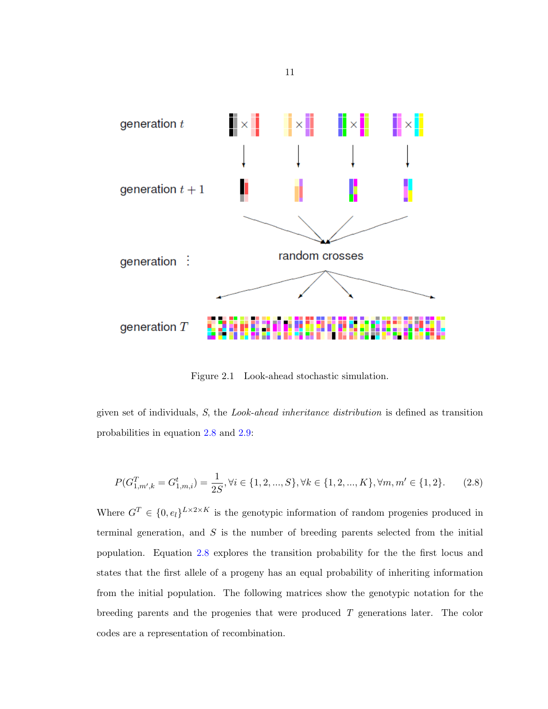<span id="page-16-0"></span>

Figure 2.1 Look-ahead stochastic simulation.

given set of individuals, S, the Look-ahead inheritance distribution is defined as transition probabilities in equation 2.8 and [2.9:](#page-17-0)

$$
P(G_{1,m',k}^T = G_{1,m,i}^t) = \frac{1}{2S}, \forall i \in \{1, 2, ..., S\}, \forall k \in \{1, 2, ..., K\}, \forall m, m' \in \{1, 2\}.
$$
 (2.8)

Where  $G^T \in \{0, e_l\}^{L \times 2 \times K}$  is the genotypic information of random progenies produced in terminal generation, and  $S$  is the number of breeding parents selected from the initial population. Equation 2.8 explores the transition probability for the the first locus and states that the first allele of a progeny has an equal probability of inheriting information from the initial population. The following matrices show the genotypic notation for the breeding parents and the progenies that were produced T generations later. The color codes are a representation of recombination.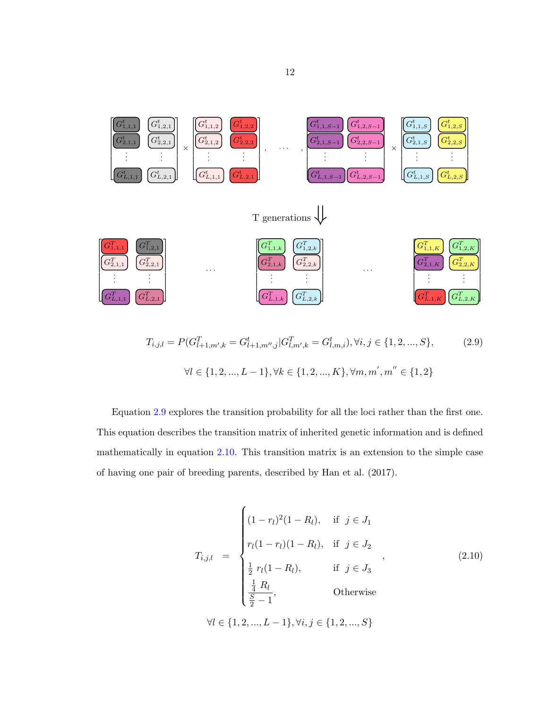<span id="page-17-0"></span>

$$
T_{i,j,l} = P(G_{l+1,m',k}^T = G_{l+1,m',j}^t | G_{l,m',k}^T = G_{l,m,i}^t), \forall i, j \in \{1, 2, ..., S\},
$$
  

$$
\forall l \in \{1, 2, ..., L-1\}, \forall k \in \{1, 2, ..., K\}, \forall m, m', m'' \in \{1, 2\}
$$
 (2.9)

Equation 2.9 explores the transition probability for all the loci rather than the first one. This equation describes the transition matrix of inherited genetic information and is defined mathematically in equation 2.10. This transition matrix is an extension to the simple case of having one pair of breeding parents, described by Han et al. (2017).

$$
T_{i,j,l} = \begin{cases} (1 - r_l)^2 (1 - R_l), & \text{if } j \in J_1 \\ r_l (1 - r_l) (1 - R_l), & \text{if } j \in J_2 \\ \frac{1}{2} r_l (1 - R_l), & \text{if } j \in J_3 \\ \frac{1}{4} R_l \\ \frac{S}{2} - 1, & \text{Otherwise} \end{cases}
$$
 (2.10)  

$$
\forall l \in \{1, 2, ..., L - 1\}, \forall i, j \in \{1, 2, ..., S\}
$$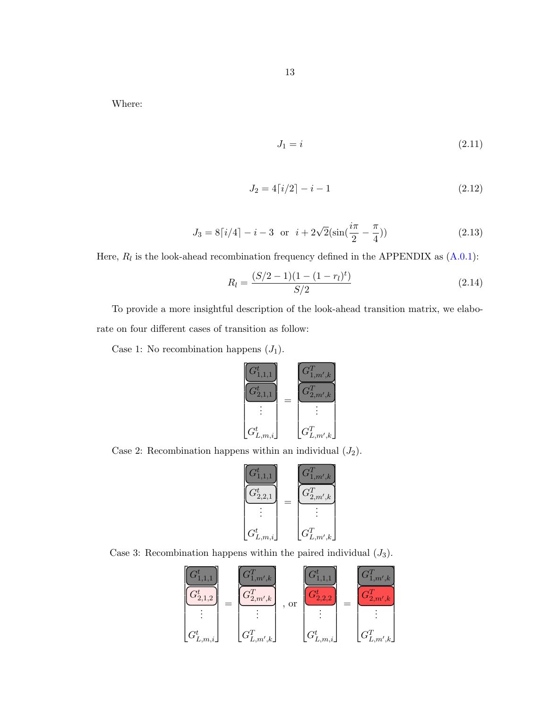Where:

$$
J_1 = i \tag{2.11}
$$

$$
J_2 = 4\lceil i/2 \rceil - i - 1 \tag{2.12}
$$

$$
J_3 = 8[i/4] - i - 3 \text{ or } i + 2\sqrt{2}(\sin(\frac{i\pi}{2} - \frac{\pi}{4}))
$$
 (2.13)

Here,  $R_l$  is the look-ahead recombination frequency defined in the APPENDIX as  $(A.0.1)$ :

$$
R_l = \frac{(S/2 - 1)(1 - (1 - r_l)^t)}{S/2} \tag{2.14}
$$

To provide a more insightful description of the look-ahead transition matrix, we elaborate on four different cases of transition as follow:

Case 1: No recombination happens  $(J_1)$ .

$$
\begin{bmatrix} G_{1,1,1}^t \\ G_{2,1,1}^t \\ \vdots \\ G_{L,m,i}^t \end{bmatrix} = \begin{bmatrix} G_{1,m',k}^T \\ G_{2,m',k}^T \\ \vdots \\ G_{L,m',k}^T \end{bmatrix}
$$

Case 2: Recombination happens within an individual  $(J_2)$ .

$$
\begin{bmatrix} G_{1,1,1}^{t} \\ G_{2,2,1}^{t} \\ \vdots \\ G_{L,m,i}^{t} \end{bmatrix} = \begin{bmatrix} G_{1,m',k}^{T} \\ G_{2,m',k}^{T} \\ \vdots \\ G_{L,m',k}^{T} \end{bmatrix}
$$

Case 3: Recombination happens within the paired individual  $(J_3)$ .

$$
\begin{bmatrix} G_{1,1,1}^t \\ G_{2,1,2}^t \\ \vdots \\ G_{L,m,i}^t \end{bmatrix} = \begin{bmatrix} G_{1,m',k}^T \\ G_{2,m',k}^T \\ \vdots \\ G_{L,m',k}^T \end{bmatrix}, \text{ or } \begin{bmatrix} G_{1,1,1}^t \\ G_{2,2,2}^t \\ \vdots \\ G_{L,m,i}^t \end{bmatrix} = \begin{bmatrix} G_{1,m',k}^T \\ G_{2,m',k}^T \\ \vdots \\ G_{L,m',k}^T \end{bmatrix}
$$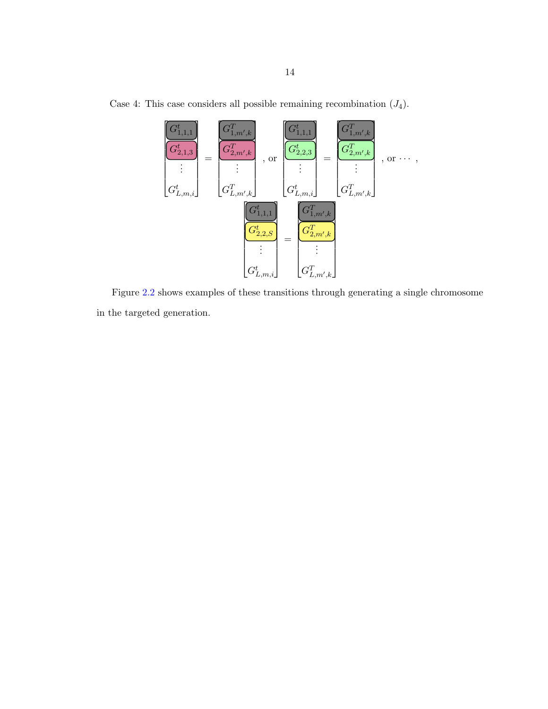

Case 4: This case considers all possible remaining recombination  $(J_4)$ .

Figure [2.2](#page-21-0) shows examples of these transitions through generating a single chromosome in the targeted generation.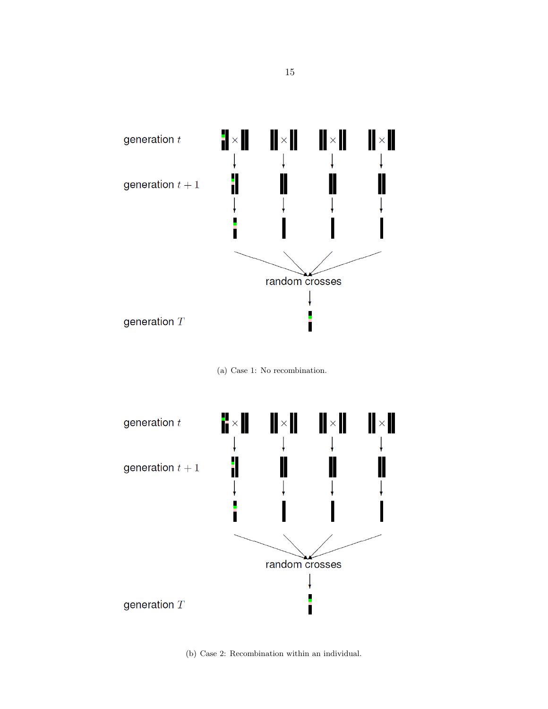

(a) Case 1: No recombination.



(b) Case 2: Recombination within an individual.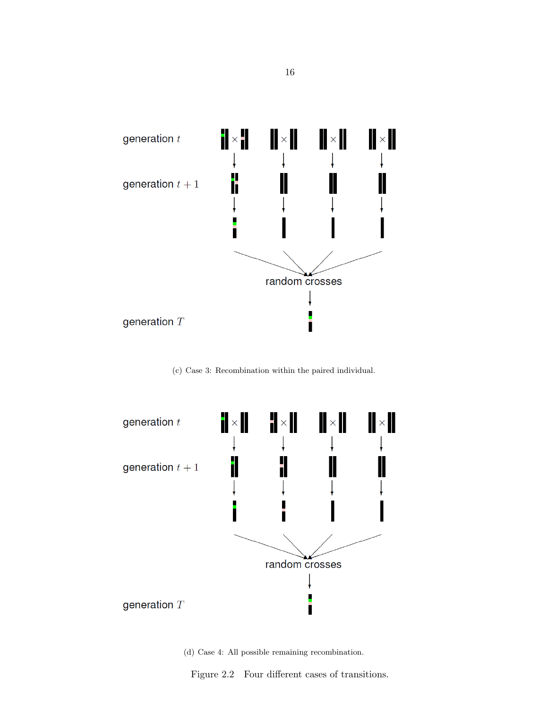<span id="page-21-0"></span>

(c) Case 3: Recombination within the paired individual.



(d) Case 4: All possible remaining recombination.

Figure 2.2 Four different cases of transitions.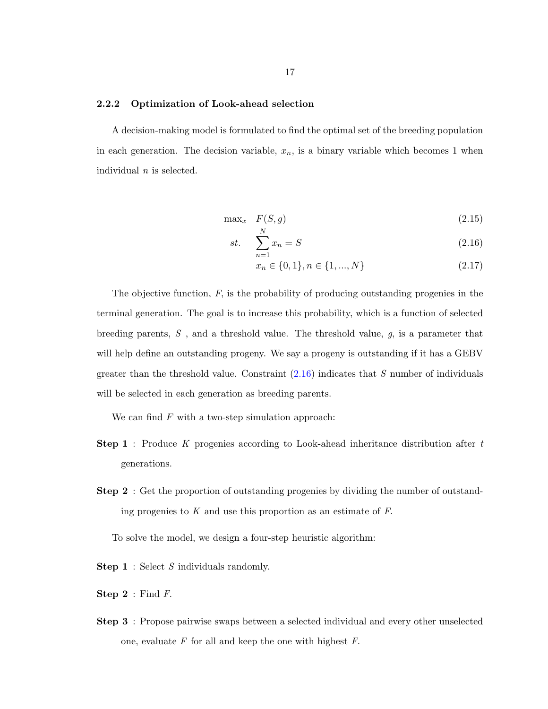#### <span id="page-22-0"></span>2.2.2 Optimization of Look-ahead selection

A decision-making model is formulated to find the optimal set of the breeding population in each generation. The decision variable,  $x_n$ , is a binary variable which becomes 1 when individual  $n$  is selected.

$$
\max_{x} F(S, g) \tag{2.15}
$$

$$
st. \quad \sum_{n=1}^{N} x_n = S \tag{2.16}
$$

$$
x_n \in \{0, 1\}, n \in \{1, ..., N\}
$$
\n
$$
(2.17)
$$

The objective function,  $F$ , is the probability of producing outstanding progenies in the terminal generation. The goal is to increase this probability, which is a function of selected breeding parents,  $S$ , and a threshold value. The threshold value,  $g$ , is a parameter that will help define an outstanding progeny. We say a progeny is outstanding if it has a GEBV greater than the threshold value. Constraint  $(2.16)$  indicates that S number of individuals will be selected in each generation as breeding parents.

We can find  $F$  with a two-step simulation approach:

- **Step 1** : Produce K progenies according to Look-ahead inheritance distribution after  $t$ generations.
- Step 2 : Get the proportion of outstanding progenies by dividing the number of outstanding progenies to  $K$  and use this proportion as an estimate of  $F$ .

To solve the model, we design a four-step heuristic algorithm:

- **Step 1** : Select S individuals randomly.
- **Step 2** : Find  $F$ .
- Step 3 : Propose pairwise swaps between a selected individual and every other unselected one, evaluate  $F$  for all and keep the one with highest  $F$ .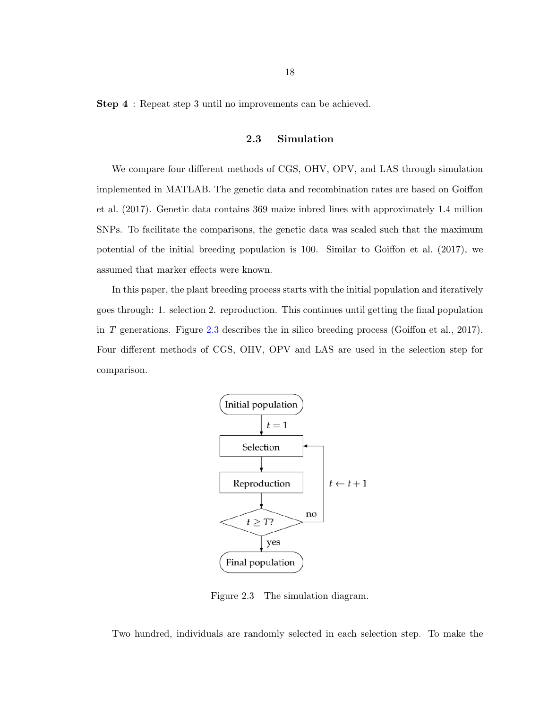<span id="page-23-0"></span>Step 4 : Repeat step 3 until no improvements can be achieved.

#### 2.3 Simulation

We compare four different methods of CGS, OHV, OPV, and LAS through simulation implemented in MATLAB. The genetic data and recombination rates are based on Goiffon et al. (2017). Genetic data contains 369 maize inbred lines with approximately 1.4 million SNPs. To facilitate the comparisons, the genetic data was scaled such that the maximum potential of the initial breeding population is 100. Similar to Goiffon et al. (2017), we assumed that marker effects were known.

In this paper, the plant breeding process starts with the initial population and iteratively goes through: 1. selection 2. reproduction. This continues until getting the final population in T generations. Figure 2.3 describes the in silico breeding process (Goiffon et al., 2017). Four different methods of CGS, OHV, OPV and LAS are used in the selection step for comparison.



Figure 2.3 The simulation diagram.

Two hundred, individuals are randomly selected in each selection step. To make the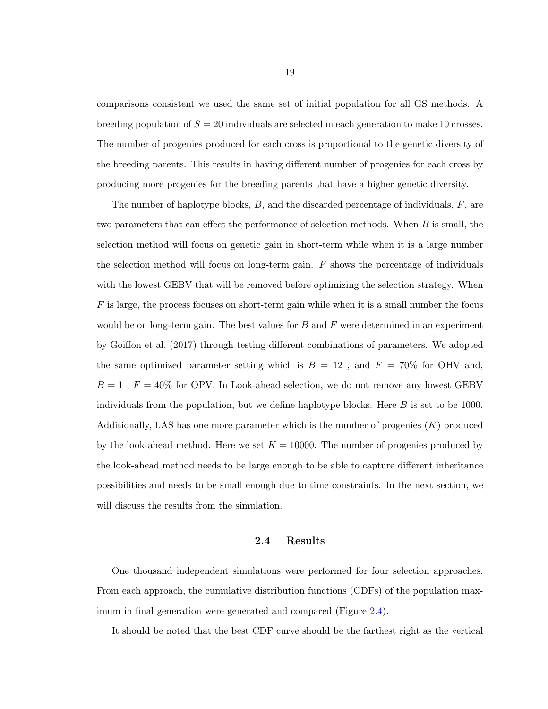<span id="page-24-0"></span>comparisons consistent we used the same set of initial population for all GS methods. A breeding population of  $S = 20$  individuals are selected in each generation to make 10 crosses. The number of progenies produced for each cross is proportional to the genetic diversity of the breeding parents. This results in having different number of progenies for each cross by producing more progenies for the breeding parents that have a higher genetic diversity.

The number of haplotype blocks,  $B$ , and the discarded percentage of individuals,  $F$ , are two parameters that can effect the performance of selection methods. When B is small, the selection method will focus on genetic gain in short-term while when it is a large number the selection method will focus on long-term gain.  $F$  shows the percentage of individuals with the lowest GEBV that will be removed before optimizing the selection strategy. When  $F$  is large, the process focuses on short-term gain while when it is a small number the focus would be on long-term gain. The best values for  $B$  and  $F$  were determined in an experiment by Goiffon et al. (2017) through testing different combinations of parameters. We adopted the same optimized parameter setting which is  $B = 12$ , and  $F = 70\%$  for OHV and,  $B = 1$ ,  $F = 40\%$  for OPV. In Look-ahead selection, we do not remove any lowest GEBV individuals from the population, but we define haplotype blocks. Here  $B$  is set to be 1000. Additionally, LAS has one more parameter which is the number of progenies  $(K)$  produced by the look-ahead method. Here we set  $K = 10000$ . The number of progenies produced by the look-ahead method needs to be large enough to be able to capture different inheritance possibilities and needs to be small enough due to time constraints. In the next section, we will discuss the results from the simulation.

#### 2.4 Results

One thousand independent simulations were performed for four selection approaches. From each approach, the cumulative distribution functions (CDFs) of the population maximum in final generation were generated and compared (Figure [2.4\)](#page-25-0).

It should be noted that the best CDF curve should be the farthest right as the vertical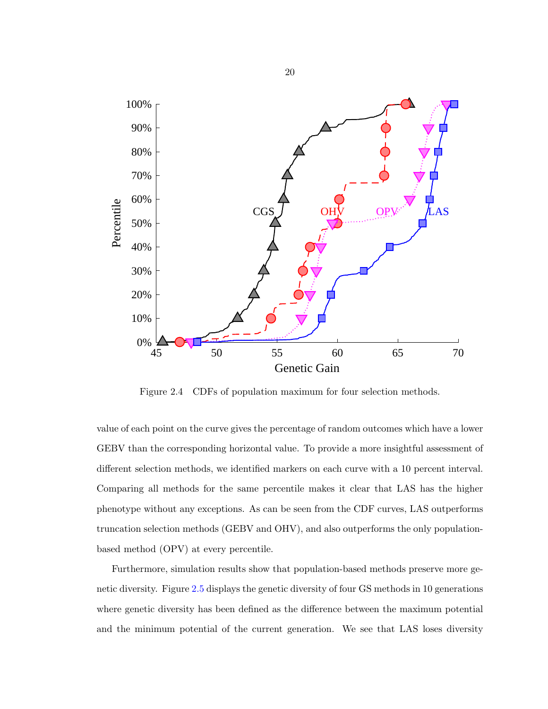<span id="page-25-0"></span>

Figure 2.4 CDFs of population maximum for four selection methods.

value of each point on the curve gives the percentage of random outcomes which have a lower GEBV than the corresponding horizontal value. To provide a more insightful assessment of different selection methods, we identified markers on each curve with a 10 percent interval. Comparing all methods for the same percentile makes it clear that LAS has the higher phenotype without any exceptions. As can be seen from the CDF curves, LAS outperforms truncation selection methods (GEBV and OHV), and also outperforms the only populationbased method (OPV) at every percentile.

Furthermore, simulation results show that population-based methods preserve more genetic diversity. Figure [2.5](#page-26-0) displays the genetic diversity of four GS methods in 10 generations where genetic diversity has been defined as the difference between the maximum potential and the minimum potential of the current generation. We see that LAS loses diversity

20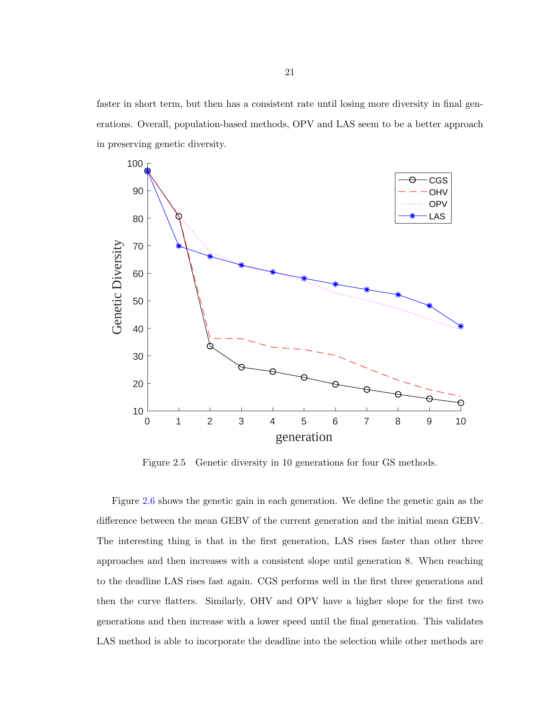<span id="page-26-0"></span>faster in short term, but then has a consistent rate until losing more diversity in final generations. Overall, population-based methods, OPV and LAS seem to be a better approach in preserving genetic diversity.



Figure 2.5 Genetic diversity in 10 generations for four GS methods.

Figure [2.6](#page-27-0) shows the genetic gain in each generation. We define the genetic gain as the difference between the mean GEBV of the current generation and the initial mean GEBV. The interesting thing is that in the first generation, LAS rises faster than other three approaches and then increases with a consistent slope until generation 8. When reaching to the deadline LAS rises fast again. CGS performs well in the first three generations and then the curve flatters. Similarly, OHV and OPV have a higher slope for the first two generations and then increase with a lower speed until the final generation. This validates LAS method is able to incorporate the deadline into the selection while other methods are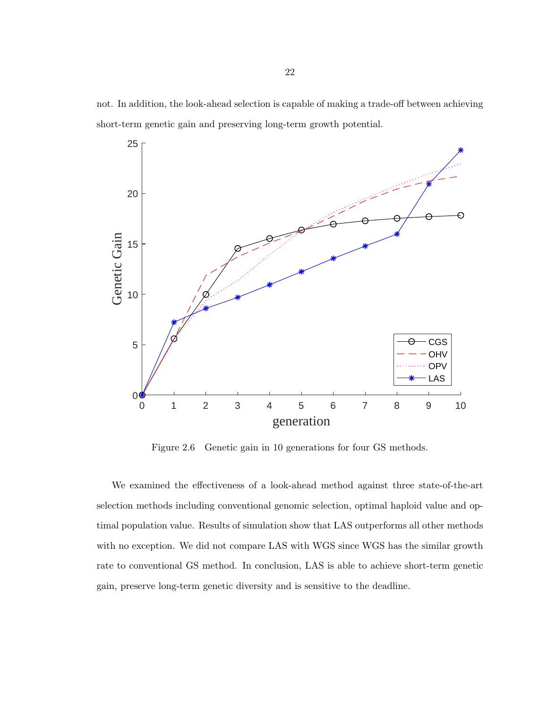<span id="page-27-0"></span>not. In addition, the look-ahead selection is capable of making a trade-off between achieving short-term genetic gain and preserving long-term growth potential.



Figure 2.6 Genetic gain in 10 generations for four GS methods.

We examined the effectiveness of a look-ahead method against three state-of-the-art selection methods including conventional genomic selection, optimal haploid value and optimal population value. Results of simulation show that LAS outperforms all other methods with no exception. We did not compare LAS with WGS since WGS has the similar growth rate to conventional GS method. In conclusion, LAS is able to achieve short-term genetic gain, preserve long-term genetic diversity and is sensitive to the deadline.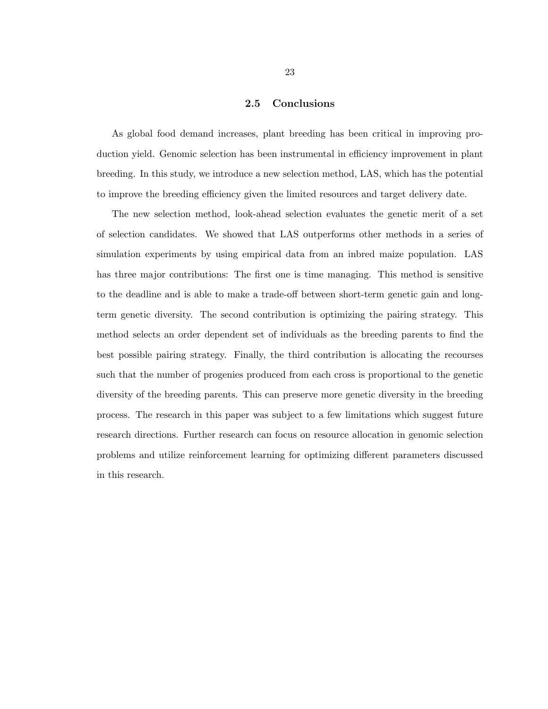#### 2.5 Conclusions

<span id="page-28-0"></span>As global food demand increases, plant breeding has been critical in improving production yield. Genomic selection has been instrumental in efficiency improvement in plant breeding. In this study, we introduce a new selection method, LAS, which has the potential to improve the breeding efficiency given the limited resources and target delivery date.

The new selection method, look-ahead selection evaluates the genetic merit of a set of selection candidates. We showed that LAS outperforms other methods in a series of simulation experiments by using empirical data from an inbred maize population. LAS has three major contributions: The first one is time managing. This method is sensitive to the deadline and is able to make a trade-off between short-term genetic gain and longterm genetic diversity. The second contribution is optimizing the pairing strategy. This method selects an order dependent set of individuals as the breeding parents to find the best possible pairing strategy. Finally, the third contribution is allocating the recourses such that the number of progenies produced from each cross is proportional to the genetic diversity of the breeding parents. This can preserve more genetic diversity in the breeding process. The research in this paper was subject to a few limitations which suggest future research directions. Further research can focus on resource allocation in genomic selection problems and utilize reinforcement learning for optimizing different parameters discussed in this research.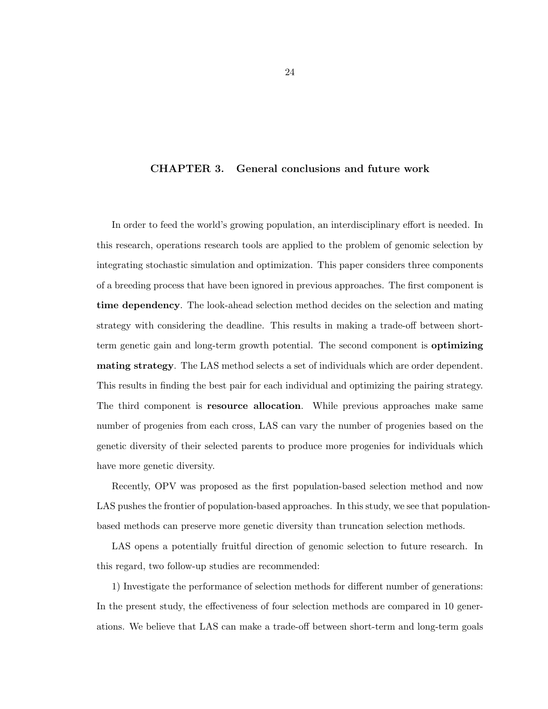## <span id="page-29-0"></span>CHAPTER 3. General conclusions and future work

In order to feed the world's growing population, an interdisciplinary effort is needed. In this research, operations research tools are applied to the problem of genomic selection by integrating stochastic simulation and optimization. This paper considers three components of a breeding process that have been ignored in previous approaches. The first component is time dependency. The look-ahead selection method decides on the selection and mating strategy with considering the deadline. This results in making a trade-off between shortterm genetic gain and long-term growth potential. The second component is optimizing mating strategy. The LAS method selects a set of individuals which are order dependent. This results in finding the best pair for each individual and optimizing the pairing strategy. The third component is resource allocation. While previous approaches make same number of progenies from each cross, LAS can vary the number of progenies based on the genetic diversity of their selected parents to produce more progenies for individuals which have more genetic diversity.

Recently, OPV was proposed as the first population-based selection method and now LAS pushes the frontier of population-based approaches. In this study, we see that populationbased methods can preserve more genetic diversity than truncation selection methods.

LAS opens a potentially fruitful direction of genomic selection to future research. In this regard, two follow-up studies are recommended:

1) Investigate the performance of selection methods for different number of generations: In the present study, the effectiveness of four selection methods are compared in 10 generations. We believe that LAS can make a trade-off between short-term and long-term goals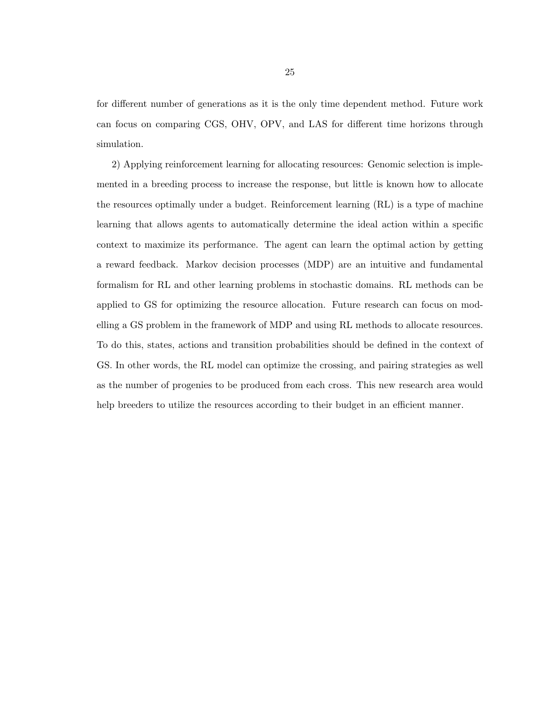for different number of generations as it is the only time dependent method. Future work can focus on comparing CGS, OHV, OPV, and LAS for different time horizons through simulation.

2) Applying reinforcement learning for allocating resources: Genomic selection is implemented in a breeding process to increase the response, but little is known how to allocate the resources optimally under a budget. Reinforcement learning (RL) is a type of machine learning that allows agents to automatically determine the ideal action within a specific context to maximize its performance. The agent can learn the optimal action by getting a reward feedback. Markov decision processes (MDP) are an intuitive and fundamental formalism for RL and other learning problems in stochastic domains. RL methods can be applied to GS for optimizing the resource allocation. Future research can focus on modelling a GS problem in the framework of MDP and using RL methods to allocate resources. To do this, states, actions and transition probabilities should be defined in the context of GS. In other words, the RL model can optimize the crossing, and pairing strategies as well as the number of progenies to be produced from each cross. This new research area would help breeders to utilize the resources according to their budget in an efficient manner.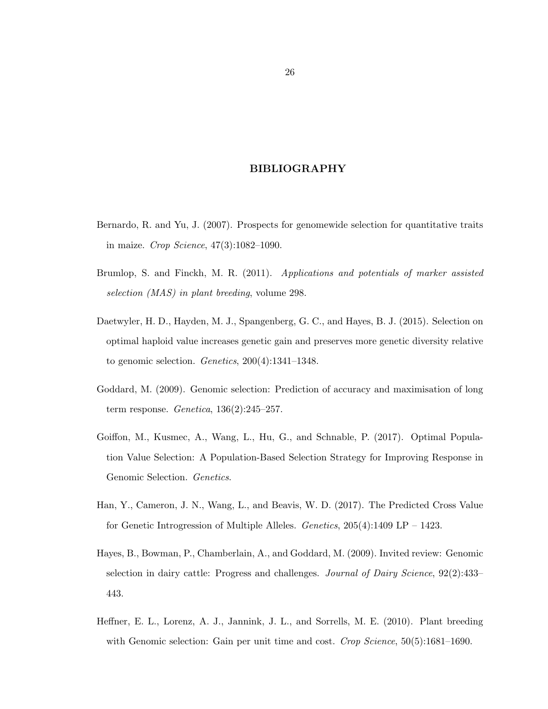## BIBLIOGRAPHY

- <span id="page-31-0"></span>Bernardo, R. and Yu, J. (2007). Prospects for genomewide selection for quantitative traits in maize. Crop Science, 47(3):1082–1090.
- Brumlop, S. and Finckh, M. R. (2011). Applications and potentials of marker assisted selection (MAS) in plant breeding, volume 298.
- Daetwyler, H. D., Hayden, M. J., Spangenberg, G. C., and Hayes, B. J. (2015). Selection on optimal haploid value increases genetic gain and preserves more genetic diversity relative to genomic selection. Genetics, 200(4):1341–1348.
- Goddard, M. (2009). Genomic selection: Prediction of accuracy and maximisation of long term response. Genetica, 136(2):245–257.
- Goiffon, M., Kusmec, A., Wang, L., Hu, G., and Schnable, P. (2017). Optimal Population Value Selection: A Population-Based Selection Strategy for Improving Response in Genomic Selection. Genetics.
- Han, Y., Cameron, J. N., Wang, L., and Beavis, W. D. (2017). The Predicted Cross Value for Genetic Introgression of Multiple Alleles. Genetics, 205(4):1409 LP – 1423.
- Hayes, B., Bowman, P., Chamberlain, A., and Goddard, M. (2009). Invited review: Genomic selection in dairy cattle: Progress and challenges. Journal of Dairy Science, 92(2):433– 443.
- Heffner, E. L., Lorenz, A. J., Jannink, J. L., and Sorrells, M. E. (2010). Plant breeding with Genomic selection: Gain per unit time and cost. Crop Science, 50(5):1681–1690.

26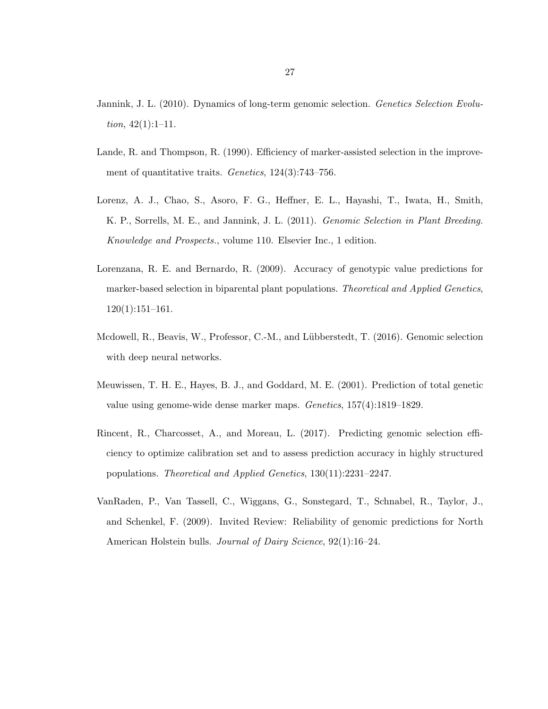- Jannink, J. L. (2010). Dynamics of long-term genomic selection. Genetics Selection Evolution,  $42(1):1-11$ .
- Lande, R. and Thompson, R. (1990). Efficiency of marker-assisted selection in the improvement of quantitative traits. Genetics, 124(3):743–756.
- Lorenz, A. J., Chao, S., Asoro, F. G., Heffner, E. L., Hayashi, T., Iwata, H., Smith, K. P., Sorrells, M. E., and Jannink, J. L. (2011). Genomic Selection in Plant Breeding. Knowledge and Prospects., volume 110. Elsevier Inc., 1 edition.
- Lorenzana, R. E. and Bernardo, R. (2009). Accuracy of genotypic value predictions for marker-based selection in biparental plant populations. *Theoretical and Applied Genetics*, 120(1):151–161.
- Mcdowell, R., Beavis, W., Professor, C.-M., and Lübberstedt, T. (2016). Genomic selection with deep neural networks.
- Meuwissen, T. H. E., Hayes, B. J., and Goddard, M. E. (2001). Prediction of total genetic value using genome-wide dense marker maps. Genetics, 157(4):1819–1829.
- Rincent, R., Charcosset, A., and Moreau, L. (2017). Predicting genomic selection efficiency to optimize calibration set and to assess prediction accuracy in highly structured populations. Theoretical and Applied Genetics, 130(11):2231–2247.
- VanRaden, P., Van Tassell, C., Wiggans, G., Sonstegard, T., Schnabel, R., Taylor, J., and Schenkel, F. (2009). Invited Review: Reliability of genomic predictions for North American Holstein bulls. Journal of Dairy Science, 92(1):16–24.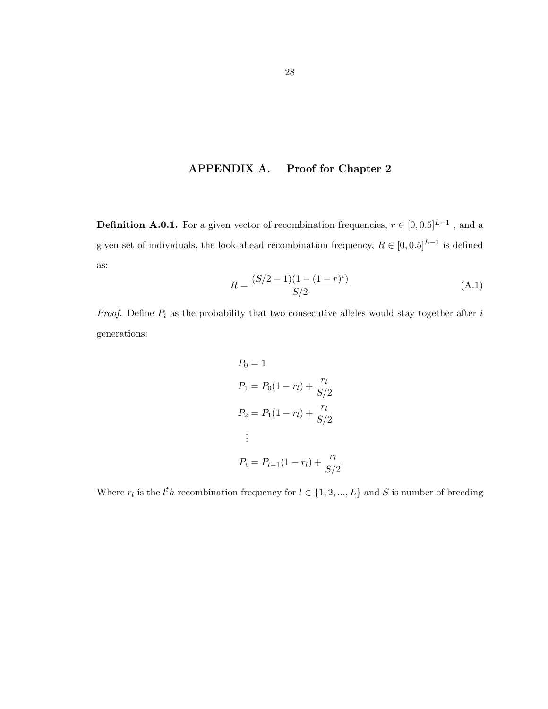# APPENDIX A. Proof for Chapter 2

<span id="page-33-0"></span>**Definition A.0.1.** For a given vector of recombination frequencies,  $r \in [0, 0.5]^{L-1}$ , and a given set of individuals, the look-ahead recombination frequency,  $R \in [0, 0.5]^{L-1}$  is defined as:

$$
R = \frac{(S/2 - 1)(1 - (1 - r)^t)}{S/2}
$$
\n(A.1)

*Proof.* Define  $P_i$  as the probability that two consecutive alleles would stay together after  $i$ generations:

$$
P_0 = 1
$$
  
\n
$$
P_1 = P_0(1 - r_l) + \frac{r_l}{S/2}
$$
  
\n
$$
P_2 = P_1(1 - r_l) + \frac{r_l}{S/2}
$$
  
\n:  
\n:  
\n
$$
P_t = P_{t-1}(1 - r_l) + \frac{r_l}{S/2}
$$

Where  $r_l$  is the  $l^th$  recombination frequency for  $l \in \{1, 2, ..., L\}$  and S is number of breeding